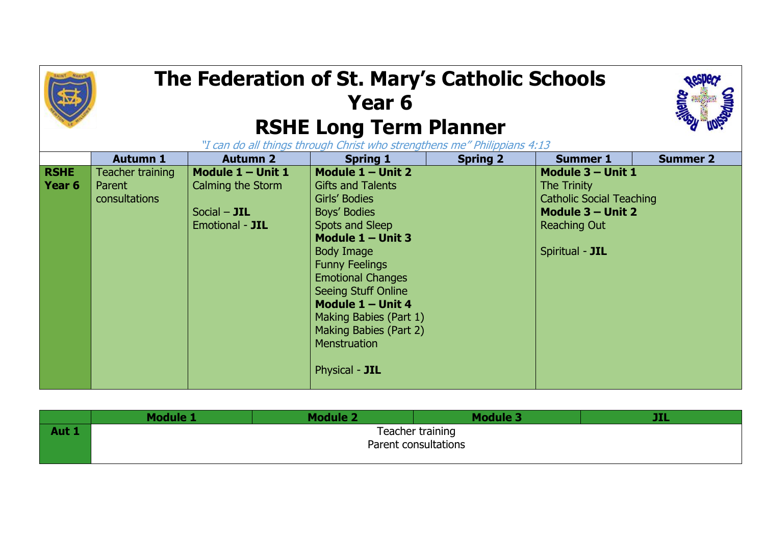## **The Federation of St. Mary's Catholic Schools Year 6 RSHE Long Term Planner** "I can do all things through Christ who strengthens me" Philippians 4:13



|       | Module 1             | Module 2 | <b>Module 3</b> | . |
|-------|----------------------|----------|-----------------|---|
| Aut 1 | Teacher training     |          |                 |   |
|       | Parent consultations |          |                 |   |
|       |                      |          |                 |   |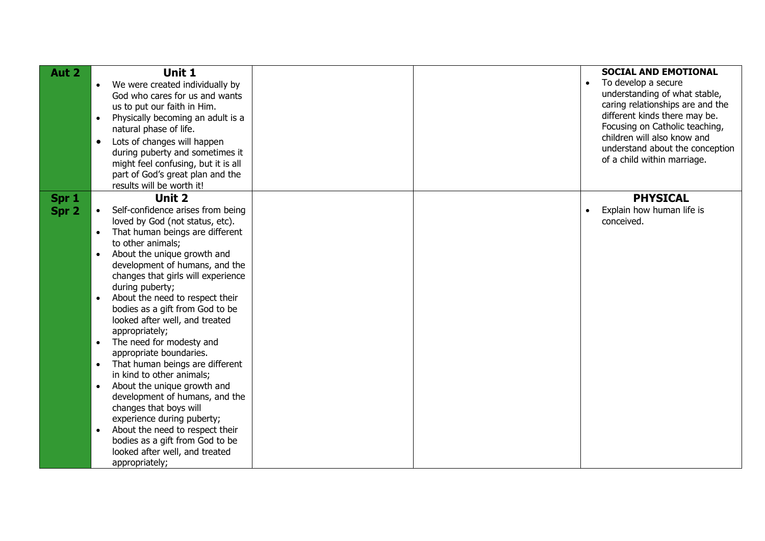| Aut 2          | Unit 1<br>We were created individually by<br>$\bullet$<br>God who cares for us and wants<br>us to put our faith in Him.<br>Physically becoming an adult is a<br>$\bullet$<br>natural phase of life.<br>Lots of changes will happen<br>$\bullet$<br>during puberty and sometimes it<br>might feel confusing, but it is all<br>part of God's great plan and the<br>results will be worth it!                                                                                                                                                                                                                                                                                                                                                                                                                  |  | <b>SOCIAL AND EMOTIONAL</b><br>To develop a secure<br>$\bullet$<br>understanding of what stable,<br>caring relationships are and the<br>different kinds there may be.<br>Focusing on Catholic teaching,<br>children will also know and<br>understand about the conception<br>of a child within marriage. |
|----------------|-------------------------------------------------------------------------------------------------------------------------------------------------------------------------------------------------------------------------------------------------------------------------------------------------------------------------------------------------------------------------------------------------------------------------------------------------------------------------------------------------------------------------------------------------------------------------------------------------------------------------------------------------------------------------------------------------------------------------------------------------------------------------------------------------------------|--|----------------------------------------------------------------------------------------------------------------------------------------------------------------------------------------------------------------------------------------------------------------------------------------------------------|
| Spr 1<br>Spr 2 | Unit 2<br>Self-confidence arises from being<br>loved by God (not status, etc).<br>That human beings are different<br>$\bullet$<br>to other animals;<br>About the unique growth and<br>$\bullet$<br>development of humans, and the<br>changes that girls will experience<br>during puberty;<br>About the need to respect their<br>$\bullet$<br>bodies as a gift from God to be<br>looked after well, and treated<br>appropriately;<br>The need for modesty and<br>$\bullet$<br>appropriate boundaries.<br>That human beings are different<br>$\bullet$<br>in kind to other animals;<br>About the unique growth and<br>$\bullet$<br>development of humans, and the<br>changes that boys will<br>experience during puberty;<br>About the need to respect their<br>$\bullet$<br>bodies as a gift from God to be |  | <b>PHYSICAL</b><br>Explain how human life is<br>conceived.                                                                                                                                                                                                                                               |
|                | looked after well, and treated<br>appropriately;                                                                                                                                                                                                                                                                                                                                                                                                                                                                                                                                                                                                                                                                                                                                                            |  |                                                                                                                                                                                                                                                                                                          |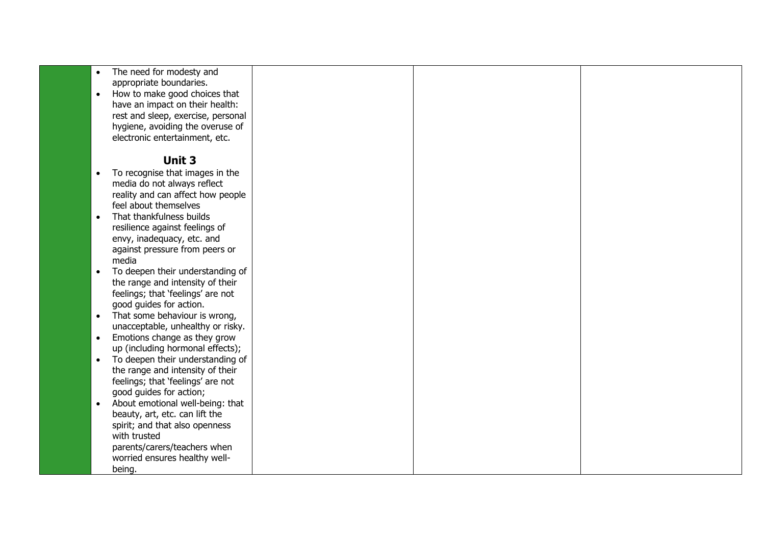| $\bullet$ | The need for modesty and           |  |  |
|-----------|------------------------------------|--|--|
|           | appropriate boundaries.            |  |  |
| $\bullet$ | How to make good choices that      |  |  |
|           | have an impact on their health:    |  |  |
|           | rest and sleep, exercise, personal |  |  |
|           | hygiene, avoiding the overuse of   |  |  |
|           | electronic entertainment, etc.     |  |  |
|           |                                    |  |  |
|           | Unit 3                             |  |  |
|           | To recognise that images in the    |  |  |
|           | media do not always reflect        |  |  |
|           | reality and can affect how people  |  |  |
|           | feel about themselves              |  |  |
| $\bullet$ | That thankfulness builds           |  |  |
|           | resilience against feelings of     |  |  |
|           | envy, inadequacy, etc. and         |  |  |
|           | against pressure from peers or     |  |  |
|           | media                              |  |  |
| $\bullet$ | To deepen their understanding of   |  |  |
|           | the range and intensity of their   |  |  |
|           | feelings; that 'feelings' are not  |  |  |
|           | good guides for action.            |  |  |
| $\bullet$ | That some behaviour is wrong,      |  |  |
|           | unacceptable, unhealthy or risky.  |  |  |
| $\bullet$ | Emotions change as they grow       |  |  |
|           | up (including hormonal effects);   |  |  |
| $\bullet$ | To deepen their understanding of   |  |  |
|           | the range and intensity of their   |  |  |
|           | feelings; that 'feelings' are not  |  |  |
|           | good guides for action;            |  |  |
| $\bullet$ | About emotional well-being: that   |  |  |
|           | beauty, art, etc. can lift the     |  |  |
|           | spirit; and that also openness     |  |  |
|           | with trusted                       |  |  |
|           | parents/carers/teachers when       |  |  |
|           | worried ensures healthy well-      |  |  |
|           | being.                             |  |  |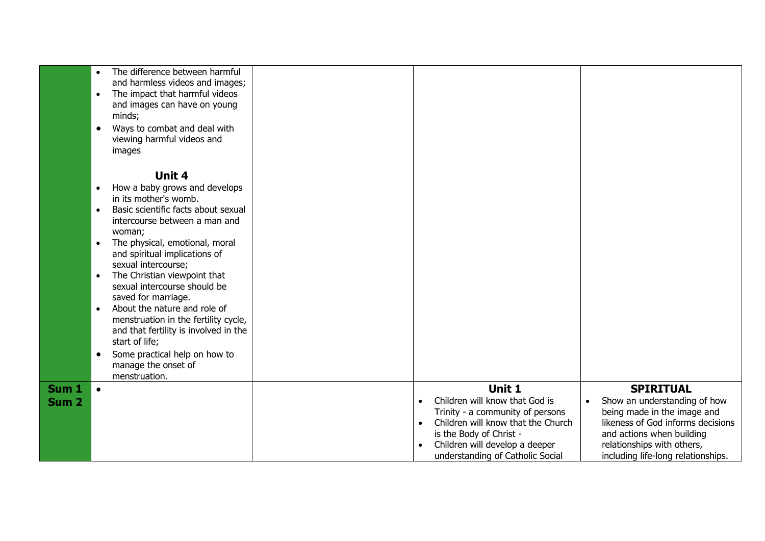|                           | The difference between harmful<br>$\bullet$<br>and harmless videos and images;<br>The impact that harmful videos<br>$\bullet$<br>and images can have on young<br>minds;<br>Ways to combat and deal with<br>$\bullet$<br>viewing harmful videos and<br>images                                                                                                                                                                                                                                                                                                                                                                  |                                                                                                                                                                                                                                               |                                                                                                                                                                                                                                    |
|---------------------------|-------------------------------------------------------------------------------------------------------------------------------------------------------------------------------------------------------------------------------------------------------------------------------------------------------------------------------------------------------------------------------------------------------------------------------------------------------------------------------------------------------------------------------------------------------------------------------------------------------------------------------|-----------------------------------------------------------------------------------------------------------------------------------------------------------------------------------------------------------------------------------------------|------------------------------------------------------------------------------------------------------------------------------------------------------------------------------------------------------------------------------------|
|                           | Unit 4<br>How a baby grows and develops<br>$\bullet$<br>in its mother's womb.<br>Basic scientific facts about sexual<br>$\bullet$<br>intercourse between a man and<br>woman;<br>The physical, emotional, moral<br>$\bullet$<br>and spiritual implications of<br>sexual intercourse;<br>The Christian viewpoint that<br>$\bullet$<br>sexual intercourse should be<br>saved for marriage.<br>About the nature and role of<br>$\bullet$<br>menstruation in the fertility cycle,<br>and that fertility is involved in the<br>start of life;<br>Some practical help on how to<br>$\bullet$<br>manage the onset of<br>menstruation. |                                                                                                                                                                                                                                               |                                                                                                                                                                                                                                    |
| Sum <sub>1</sub><br>Sum 2 | $\bullet$                                                                                                                                                                                                                                                                                                                                                                                                                                                                                                                                                                                                                     | Unit 1<br>Children will know that God is<br>$\bullet$<br>Trinity - a community of persons<br>Children will know that the Church<br>$\bullet$<br>is the Body of Christ -<br>Children will develop a deeper<br>understanding of Catholic Social | <b>SPIRITUAL</b><br>Show an understanding of how<br>$\bullet$<br>being made in the image and<br>likeness of God informs decisions<br>and actions when building<br>relationships with others,<br>including life-long relationships. |